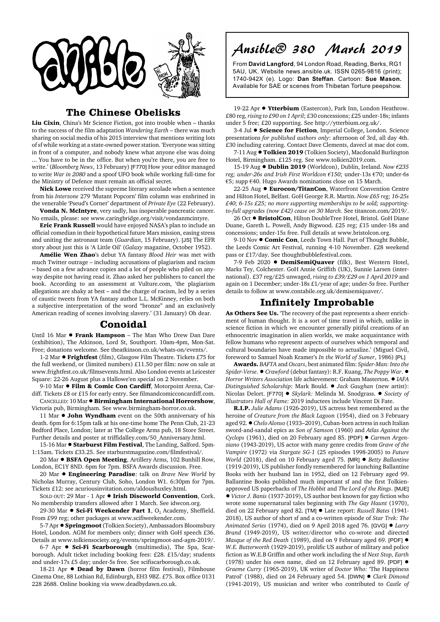

## **The Chinese Obelisks**

**Liu Cixin**, China's Mr Science Fiction, got into trouble when – thanks to the success of the film adaptation *Wandering Earth* – there was much sharing on social media of his 2015 interview that mentions writing lots of sf while working at a state-owned power station. 'Everyone was sitting in front of a computer, and nobody knew what anyone else was doing ... You have to be in the office. But when you're there, you are free to write.' (*Bloomberg News*, 13 February) [F770] How your editor managed to write *War in 2080* and a spoof UFO book while working full-time for the Ministry of Defence must remain an official secret.

**Nick Lowe** received the supreme literary accolade when a sentence from his *Interzone* 279 'Mutant Popcorn' film column was enshrined in the venerable 'Pseud's Corner' department of *Private Eye* (22 February).

**Vonda N. McIntyre**, very sadly, has inoperable pancreatic cancer. No emails, please: see www.caringbridge.org/visit/vondanmcintyre.

**Eric Frank Russell** would have enjoyed NASA's plan to include an official comedian in their hypothetical future Mars mission, easing stress and uniting the astronaut team (*Guardian*, 15 February). [JS] The EFR story about just this is 'A Little Oil' (*Galaxy* magazine, October 1952).

**Amélie Wen Zhao**'s debut YA fantasy *Blood Heir* was met with much Twitter outrage – including accusations of plagiarism and racism – based on a few advance copies and a lot of people who piled on anyway despite not having read it. Zhao asked her publishers to cancel the book. According to an assessment at Vulture.com, 'the plagiarism allegations are shaky at best – and the charge of racism, led by a series of caustic tweets from YA fantasy author L.L. McKinney, relies on both a subjective interpretation of the word "bronze" and an exclusively American reading of scenes involving slavery.' (31 January) Oh dear.

## **Conoidal**

Until 16 Mar  $\bullet$  Frank Hampson - The Man Who Drew Dan Dare (exhibition), The Atkinson, Lord St, Southport. 10am-4pm, Mon-Sat. Free; donations welcome. See theatkinson.co.uk/whats-on/events/.

1-2 Mar  $\bullet$  Frightfest (film), Glasgow Film Theatre. Tickets £75 for the full weekend, or (limited numbers) £11.50 per film: now on sale at www.frightfest.co.uk/filmsevents.html. Also London events at Leicester Square: 22-26 August plus a Hallowe'en special on 2 November.

9-10 Mar  $\bullet$  Film & Comic Con Cardiff, Motorpoint Arena, Cardiff. Tickets £8 or £15 for early entry. See filmandcomicconcardiff.com. CANCELLED: 10 Mar ! **Birmingham International Horrorshow**,

Victoria pub, Birmingham. See www.birmingham-horror.co.uk.

11 Mar  $\bullet$  **John Wyndham** event on the 50th anniversary of his death. 6pm for 6:15pm talk at his one-time home The Penn Club, 21-23 Bedford Place, London; later at The College Arms pub, 18 Store Street. Further details and poster at triffidalley.com/50\_Anniversary.html.

15-16 Mar  $\bullet$  **Starburst Film Festival**, The Landing, Salford. 5pm-1:15am. Tickets £33.25. See starburstmagazine.com/filmfestival/.

20 Mar  $\bullet$  **BSFA Open Meeting**, Artillery Arms, 102 Bunhill Row, London, EC1Y 8ND. 6pm for 7pm. BSFA Awards discussion. Free.

20 Mar ! **Engineering Paradise**: talk on *Brave New World* by Nicholas Murray, Century Club, Soho, London W1. 6:30pm for 7pm. Tickets £12: see acuriousinvitation.com/aldoushuxley.html.

SOLD OUT: 29 Mar - 1 Apr  $\bullet$  Irish Discworld Convention, Cork. No membership transfers allowed after 1 March. See idwcon.org.

29-30 Mar • Sci-Fi Weekender Part 1, O<sub>2</sub> Academy, Sheffield. From £99 reg; other packages at www.scifiweekender.com.

5-7 Apr  $\bullet$  **Springmoot** (Tolkien Society), Ambassadors Bloomsbury Hotel, London. AGM for members only; dinner with GoH speech £36. Details at www.tolkiensociety.org/events/springmoot-and-agm-2019/.

6-7 Apr ! **Sci-Fi Scarborough** (multimedia), The Spa, Scarborough. Adult ticket including booking fees: £28. £15/day; students and under-17s £5 day; under-5s free. See scifiscarborough.co.uk.

18-21 Apr  $\bullet$  **Dead by Dawn** (horror film festival), Filmhouse Cinema One, 88 Lothian Rd, Edinburgh, EH3 9BZ. £75. Box office 0131 228 2688. Online booking via www.deadbydawn.co.uk.

Ansible® 380 March 2019

From **David Langford**, 94 London Road, Reading, Berks, RG1 5AU, UK. Website news.ansible.uk. ISSN 0265-9816 (print); 1740-942X (e). Logo: **Dan Steffan**. Cartoon: **Sue Mason.** Available for SAE or scenes from Thibetan Torture peepshow.

19-22 Apr  $\bullet$  Ytterbium (Eastercon), Park Inn, London Heathrow. £80 reg, *rising to £90 on 1 April*; £30 concessions; £25 under-18s; infants under 5 free; £20 supporting. See http://ytterbium.org.uk/.

3-4 Jul  $\bullet$  **Science for Fiction**, Imperial College, London. Science presentations *for published authors only*: afternoon of 3rd, all day 4th. £30 including catering. Contact Dave Clements, davecl at mac dot com.

7-11 Aug  $\bullet$  Tolkien 2019 (Tolkien Society), Macdonald Burlington Hotel, Birmingham. £125 reg. See www.tolkien2019.com.

15-19 Aug ! **Dublin 2019** (Worldcon), Dublin, Ireland. *Now €235 reg; under-26s and Irish First Worldcon €150;* under-13s €70; under-6s €5; supp €40. Hugo Awards nominations close on 15 March.

22-25 Aug ! **Eurocon/TitanCon**, Waterfront Convention Centre and Hilton Hotel, Belfast. GoH George R.R. Martin. *Now £65 reg; 16-25s £40; 6-15s £25; no more supporting memberships to be sold; supportingto-full upgrades (now £42) cease on 30 March.* See titancon.com/2019/.

26 Oct ● BristolCon, Hilton DoubleTree Hotel, Bristol. GoH Diane Duane, Gareth L. Powell, Andy Bigwood. £25 reg; £15 under-18s and concessions; under-15s free. Full details at www.bristolcon.org.

9-10 Nov  $\bullet$  **Comic Con**, Leeds Town Hall. Part of Thought Bubble, the Leeds Comic Art Festival, running 4-10 November. £28 weekend pass or £17/day. See thoughtbubblefestival.com.

7-9 Feb 2020 **· DemiSemiQuaver** (filk), Best Western Hotel, Marks Tey, Colchester. GoH Annie Griffith (UK), Sunnie Larsen (international). £37 reg/£25 unwaged, *rising to £39/£29 on 1 April 2019* and again on 1 December; under-18s £1/year of age; under-5s free. Further details to follow at www.contabile.org.uk/demisemiquaver/.

## **Infinitely Improbable**

**As Others See Us.** 'The recovery of the past represents a sheer enrichment of human thought. It is a sort of time travel in which, unlike in science fiction in which we encounter generally pitiful creations of an ethnocentric imagination in alien worlds, we make acquaintance with fellow humans who represent aspects of ourselves which temporal and cultural boundaries have made impossible to actualize.' (Miguel Civil, foreword to Samuel Noah Kramer's *In the World of Sumer*, 1986) [PL]

**Awards.** *BAFTA* and *Oscars*, best animated film: *Spider-Man: Into the Spider-Verse.* ● *Crawford* (debut fantasy): R.F. Kuang, *The Poppy War.* ● *Horror Writers Association* life achievement: Graham Masterton. ! *IAFA Distinguished Scholarship*: Mark Bould. ! *Jack Gaughan* (new artist): Nicolas Delort. [F770] ! *Skylark:* Melinda M. Snodgrass. ! *Society of Illustrators Hall of Fame:* 2019 inductees include Vincent Di Fate.

**R.I.P.** *Julie Adams* (1926-2019), US actress best remembered as the heroine of *Creature from the Black Lagoon* (1954), died on 3 February aged 92. !*Chelo Alonso* (1933–2019), Cuban-born actress in such Italian sword-and-sandal epics as *Son of Samson* (1960) and *Atlas Against the Cyclops* (1961), died on 20 February aged 85. [PDF] ! *Carmen Argenziano* (1943-2019), US actor with many genre credits from *Grave of the Vampire* (1972) via *Stargate SG-1* (25 episodes 1998-2005) to *Future World* (2018), died on 10 February aged 75. [MR] ! *Betty Ballantine* (1919-2019), US publisher fondly remembered for launching Ballantine Books with her husband Ian in 1952, died on 12 February aged 99. Ballantine Books published much important sf and the first Tolkienapproved US paperbacks of *The Hobbit* and *The Lord of the Rings*. [MJE] ! *Victor J. Banis* (1937-2019), US author best known for gay fiction who wrote some supernatural tales beginning with *The Gay Haunt* (1970), died on 22 February aged 82. [TM] ! Late report: *Russell Bates* (1941- 2018), US author of short sf and a co-written episode of *Star Trek: The Animated Series* (1974), died on 9 April 2018 aged 76. [GVG] ! *Larry Brand* (1949-2019), US writer/director who co-wrote and directed *Masque of the Red Death* (1989), died on 9 February aged 69. [PDF]  $\bullet$ *W.E. Butterworth* (1929-2019), prolific US author of military and police fiction as W.E.B Griffin and other work including the sf *Next Stop, Earth* (1978) under his own name, died on 12 February aged 89. [PDF]  $\bullet$ *Graeme Curry* (1965-2019), UK writer of *Doctor Who:* 'The Happiness Patrol' (1988), died on 24 February aged 54. [DWN] ! *Clark Dimond* (1941-2019), US musician and writer who contributed to *Castle of*